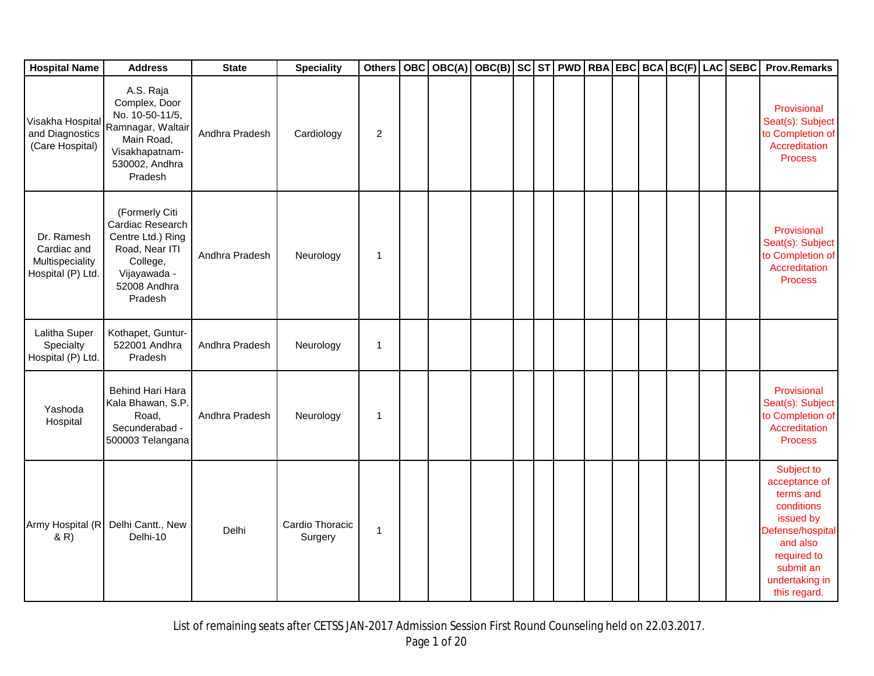| <b>Hospital Name</b>                                              | <b>Address</b>                                                                                                                   | <b>State</b>   | <b>Speciality</b>          | <b>Others</b>  | <b>OBC</b> | OBC(A) | OBC(B) SC ST PWD RBA EBC BCA BC(F) LAC SEBC |  |  |  |  | <b>Prov.Remarks</b>                                                                                                                                               |
|-------------------------------------------------------------------|----------------------------------------------------------------------------------------------------------------------------------|----------------|----------------------------|----------------|------------|--------|---------------------------------------------|--|--|--|--|-------------------------------------------------------------------------------------------------------------------------------------------------------------------|
| Visakha Hospital<br>and Diagnostics<br>(Care Hospital)            | A.S. Raja<br>Complex, Door<br>No. 10-50-11/5,<br>Ramnagar, Waltair<br>Main Road,<br>Visakhapatnam-<br>530002, Andhra<br>Pradesh  | Andhra Pradesh | Cardiology                 | 2              |            |        |                                             |  |  |  |  | Provisional<br>Seat(s): Subject<br>to Completion of<br>Accreditation<br><b>Process</b>                                                                            |
| Dr. Ramesh<br>Cardiac and<br>Multispeciality<br>Hospital (P) Ltd. | (Formerly Citi<br>Cardiac Research<br>Centre Ltd.) Ring<br>Road, Near ITI<br>College,<br>Vijayawada -<br>52008 Andhra<br>Pradesh | Andhra Pradesh | Neurology                  | $\overline{1}$ |            |        |                                             |  |  |  |  | Provisional<br>Seat(s): Subject<br>to Completion of<br>Accreditation<br><b>Process</b>                                                                            |
| Lalitha Super<br>Specialty<br>Hospital (P) Ltd.                   | Kothapet, Guntur-<br>522001 Andhra<br>Pradesh                                                                                    | Andhra Pradesh | Neurology                  | $\overline{1}$ |            |        |                                             |  |  |  |  |                                                                                                                                                                   |
| Yashoda<br>Hospital                                               | Behind Hari Hara<br>Kala Bhawan, S.P.<br>Road,<br>Secunderabad -<br>500003 Telangana                                             | Andhra Pradesh | Neurology                  | $\overline{1}$ |            |        |                                             |  |  |  |  | Provisional<br>Seat(s): Subject<br>to Completion of<br>Accreditation<br><b>Process</b>                                                                            |
| Army Hospital (R<br>(R)                                           | Delhi Cantt., New<br>Delhi-10                                                                                                    | Delhi          | Cardio Thoracic<br>Surgery | $\overline{1}$ |            |        |                                             |  |  |  |  | Subject to<br>acceptance of<br>terms and<br>conditions<br>issued by<br>Defense/hospital<br>and also<br>required to<br>submit an<br>undertaking in<br>this regard. |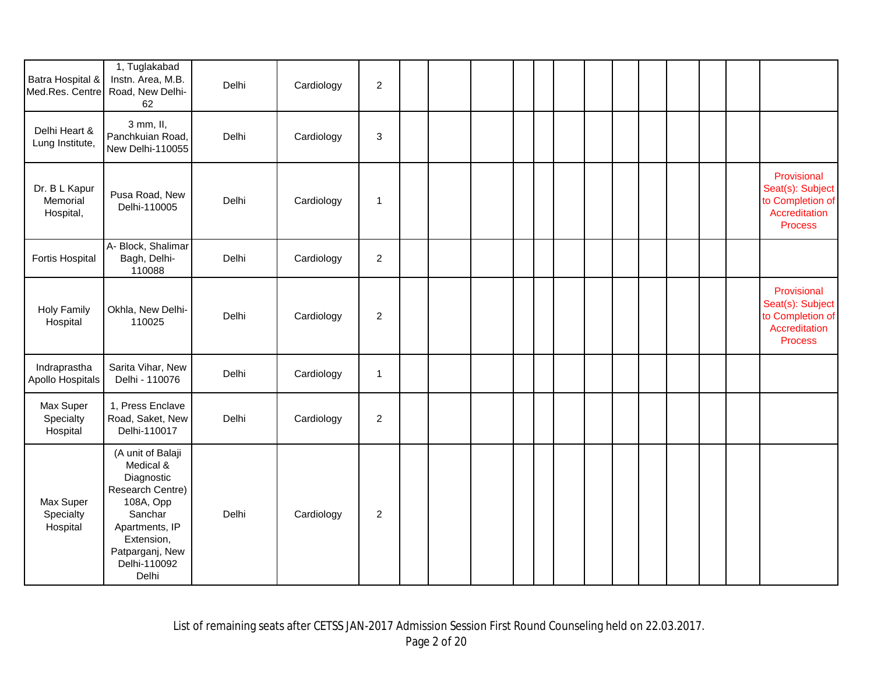| Batra Hospital &<br>Med.Res. Centre    | 1, Tuglakabad<br>Instn. Area, M.B.<br>Road, New Delhi-<br>62                                                                                                         | Delhi | Cardiology | $\overline{c}$            |  |  |  |  |  |  |                                                                                        |
|----------------------------------------|----------------------------------------------------------------------------------------------------------------------------------------------------------------------|-------|------------|---------------------------|--|--|--|--|--|--|----------------------------------------------------------------------------------------|
| Delhi Heart &<br>Lung Institute,       | 3 mm, II,<br>Panchkuian Road,<br>New Delhi-110055                                                                                                                    | Delhi | Cardiology | $\ensuremath{\mathsf{3}}$ |  |  |  |  |  |  |                                                                                        |
| Dr. B L Kapur<br>Memorial<br>Hospital, | Pusa Road, New<br>Delhi-110005                                                                                                                                       | Delhi | Cardiology | $\mathbf{1}$              |  |  |  |  |  |  | Provisional<br>Seat(s): Subject<br>to Completion of<br>Accreditation<br><b>Process</b> |
| Fortis Hospital                        | A- Block, Shalimar<br>Bagh, Delhi-<br>110088                                                                                                                         | Delhi | Cardiology | $\overline{2}$            |  |  |  |  |  |  |                                                                                        |
| <b>Holy Family</b><br>Hospital         | Okhla, New Delhi-<br>110025                                                                                                                                          | Delhi | Cardiology | $\boldsymbol{2}$          |  |  |  |  |  |  | Provisional<br>Seat(s): Subject<br>to Completion of<br>Accreditation<br><b>Process</b> |
| Indraprastha<br>Apollo Hospitals       | Sarita Vihar, New<br>Delhi - 110076                                                                                                                                  | Delhi | Cardiology | $\overline{1}$            |  |  |  |  |  |  |                                                                                        |
| Max Super<br>Specialty<br>Hospital     | 1, Press Enclave<br>Road, Saket, New<br>Delhi-110017                                                                                                                 | Delhi | Cardiology | $\mathbf{2}$              |  |  |  |  |  |  |                                                                                        |
| Max Super<br>Specialty<br>Hospital     | (A unit of Balaji<br>Medical &<br>Diagnostic<br>Research Centre)<br>108A, Opp<br>Sanchar<br>Apartments, IP<br>Extension,<br>Patparganj, New<br>Delhi-110092<br>Delhi | Delhi | Cardiology | 2                         |  |  |  |  |  |  |                                                                                        |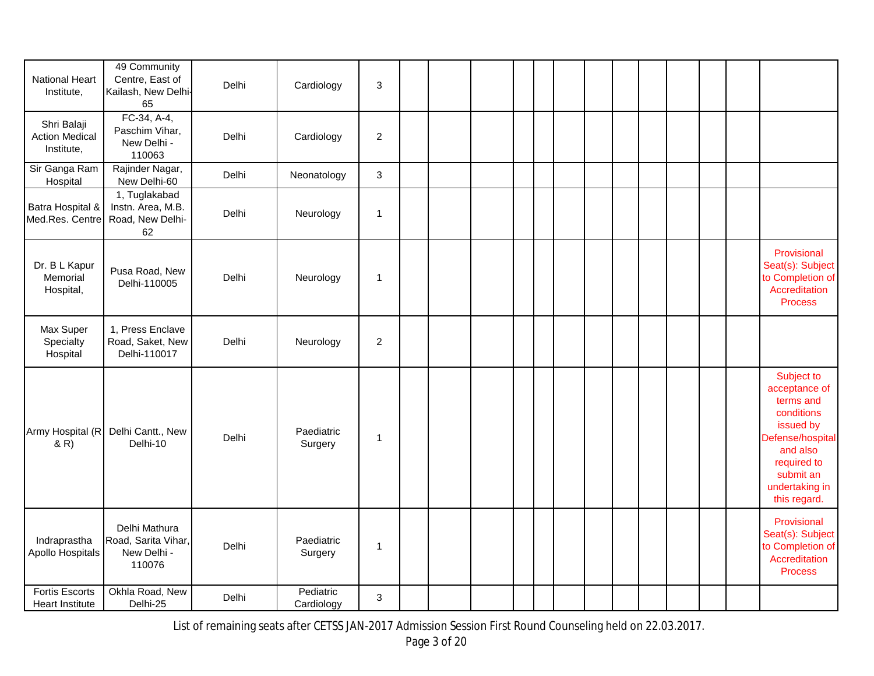| <b>National Heart</b><br>Institute,                | 49 Community<br>Centre, East of<br>Kailash, New Delhi-<br>65  | Delhi | Cardiology              | $\sqrt{3}$     |  |  |  |  |  |  |                                                                                                                                                                   |
|----------------------------------------------------|---------------------------------------------------------------|-------|-------------------------|----------------|--|--|--|--|--|--|-------------------------------------------------------------------------------------------------------------------------------------------------------------------|
| Shri Balaji<br><b>Action Medical</b><br>Institute, | FC-34, A-4,<br>Paschim Vihar,<br>New Delhi -<br>110063        | Delhi | Cardiology              | $\sqrt{2}$     |  |  |  |  |  |  |                                                                                                                                                                   |
| Sir Ganga Ram<br>Hospital                          | Rajinder Nagar,<br>New Delhi-60                               | Delhi | Neonatology             | $\sqrt{3}$     |  |  |  |  |  |  |                                                                                                                                                                   |
| Batra Hospital &<br>Med.Res. Centre                | 1, Tuglakabad<br>Instn. Area, M.B.<br>Road, New Delhi-<br>62  | Delhi | Neurology               | $\mathbf{1}$   |  |  |  |  |  |  |                                                                                                                                                                   |
| Dr. B L Kapur<br>Memorial<br>Hospital,             | Pusa Road, New<br>Delhi-110005                                | Delhi | Neurology               | $\overline{1}$ |  |  |  |  |  |  | Provisional<br>Seat(s): Subject<br>to Completion of<br>Accreditation<br><b>Process</b>                                                                            |
| Max Super<br>Specialty<br>Hospital                 | 1, Press Enclave<br>Road, Saket, New<br>Delhi-110017          | Delhi | Neurology               | $\overline{2}$ |  |  |  |  |  |  |                                                                                                                                                                   |
| Army Hospital (R<br>(R)                            | Delhi Cantt., New<br>Delhi-10                                 | Delhi | Paediatric<br>Surgery   | $\mathbf 1$    |  |  |  |  |  |  | Subject to<br>acceptance of<br>terms and<br>conditions<br>issued by<br>Defense/hospital<br>and also<br>required to<br>submit an<br>undertaking in<br>this regard. |
| Indraprastha<br>Apollo Hospitals                   | Delhi Mathura<br>Road, Sarita Vihar,<br>New Delhi -<br>110076 | Delhi | Paediatric<br>Surgery   | $\overline{1}$ |  |  |  |  |  |  | Provisional<br>Seat(s): Subject<br>to Completion of<br>Accreditation<br><b>Process</b>                                                                            |
| <b>Fortis Escorts</b><br>Heart Institute           | Okhla Road, New<br>Delhi-25                                   | Delhi | Pediatric<br>Cardiology | $\mathbf{3}$   |  |  |  |  |  |  |                                                                                                                                                                   |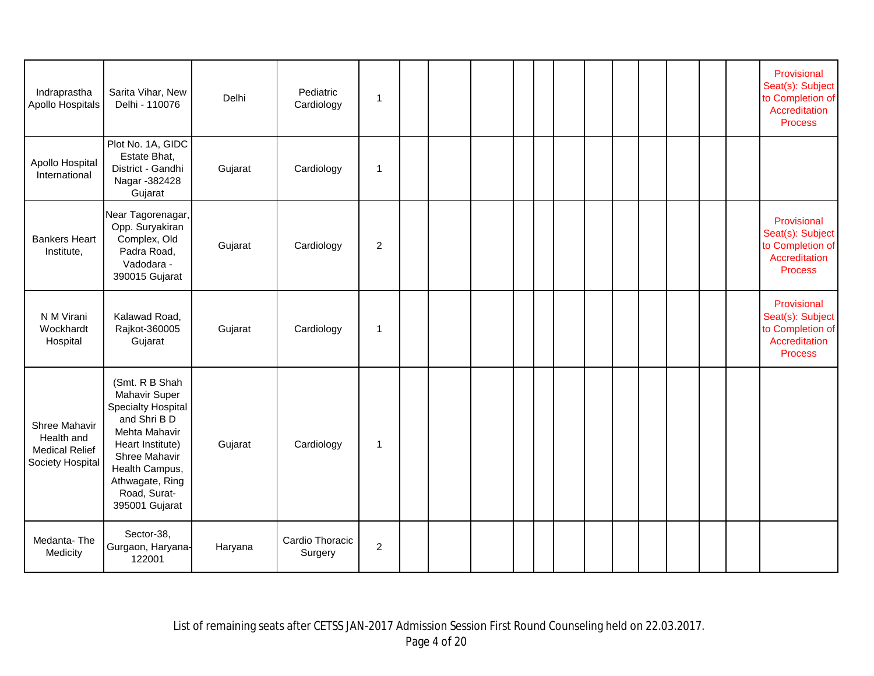| Indraprastha<br>Apollo Hospitals                                         | Sarita Vihar, New<br>Delhi - 110076                                                                                                                                                                              | Delhi   | Pediatric<br>Cardiology    | $\mathbf{1}$     |  |  |  |  |  |  | Provisional<br>Seat(s): Subject<br>to Completion of<br>Accreditation<br><b>Process</b> |
|--------------------------------------------------------------------------|------------------------------------------------------------------------------------------------------------------------------------------------------------------------------------------------------------------|---------|----------------------------|------------------|--|--|--|--|--|--|----------------------------------------------------------------------------------------|
| Apollo Hospital<br>International                                         | Plot No. 1A, GIDC<br>Estate Bhat,<br>District - Gandhi<br>Nagar - 382428<br>Gujarat                                                                                                                              | Gujarat | Cardiology                 | $\mathbf{1}$     |  |  |  |  |  |  |                                                                                        |
| <b>Bankers Heart</b><br>Institute,                                       | Near Tagorenagar,<br>Opp. Suryakiran<br>Complex, Old<br>Padra Road,<br>Vadodara -<br>390015 Gujarat                                                                                                              | Gujarat | Cardiology                 | $\boldsymbol{2}$ |  |  |  |  |  |  | Provisional<br>Seat(s): Subject<br>to Completion of<br>Accreditation<br><b>Process</b> |
| N M Virani<br>Wockhardt<br>Hospital                                      | Kalawad Road,<br>Rajkot-360005<br>Gujarat                                                                                                                                                                        | Gujarat | Cardiology                 | $\mathbf 1$      |  |  |  |  |  |  | Provisional<br>Seat(s): Subject<br>to Completion of<br>Accreditation<br><b>Process</b> |
| Shree Mahavir<br>Health and<br><b>Medical Relief</b><br>Society Hospital | (Smt. R B Shah<br><b>Mahavir Super</b><br><b>Specialty Hospital</b><br>and Shri B D<br>Mehta Mahavir<br>Heart Institute)<br>Shree Mahavir<br>Health Campus,<br>Athwagate, Ring<br>Road, Surat-<br>395001 Gujarat | Gujarat | Cardiology                 | $\mathbf 1$      |  |  |  |  |  |  |                                                                                        |
| Medanta-The<br>Medicity                                                  | Sector-38,<br>Gurgaon, Haryana-<br>122001                                                                                                                                                                        | Haryana | Cardio Thoracic<br>Surgery | $\overline{c}$   |  |  |  |  |  |  |                                                                                        |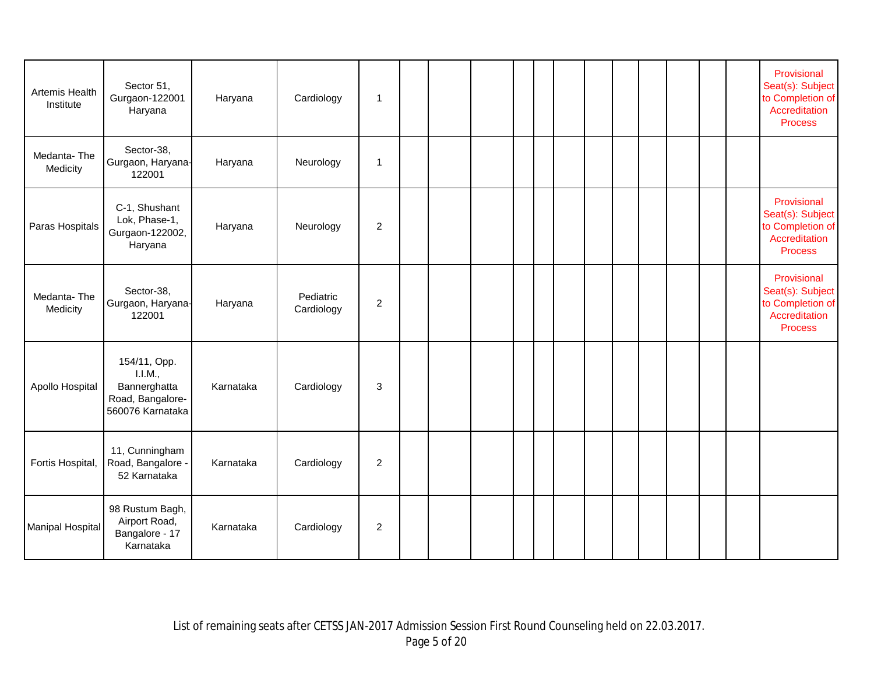| Artemis Health<br>Institute | Sector 51,<br>Gurgaon-122001<br>Haryana                                         | Haryana   | Cardiology              | $\mathbf 1$    |  |  |  |  |  |  | Provisional<br>Seat(s): Subject<br>to Completion of<br>Accreditation<br><b>Process</b> |
|-----------------------------|---------------------------------------------------------------------------------|-----------|-------------------------|----------------|--|--|--|--|--|--|----------------------------------------------------------------------------------------|
| Medanta-The<br>Medicity     | Sector-38,<br>Gurgaon, Haryana-<br>122001                                       | Haryana   | Neurology               | $\mathbf{1}$   |  |  |  |  |  |  |                                                                                        |
| Paras Hospitals             | C-1, Shushant<br>Lok, Phase-1,<br>Gurgaon-122002,<br>Haryana                    | Haryana   | Neurology               | $\overline{2}$ |  |  |  |  |  |  | Provisional<br>Seat(s): Subject<br>to Completion of<br>Accreditation<br><b>Process</b> |
| Medanta-The<br>Medicity     | Sector-38,<br>Gurgaon, Haryana-<br>122001                                       | Haryana   | Pediatric<br>Cardiology | $\overline{2}$ |  |  |  |  |  |  | Provisional<br>Seat(s): Subject<br>to Completion of<br>Accreditation<br><b>Process</b> |
| Apollo Hospital             | 154/11, Opp.<br>I.I.M.,<br>Bannerghatta<br>Road, Bangalore-<br>560076 Karnataka | Karnataka | Cardiology              | 3              |  |  |  |  |  |  |                                                                                        |
| Fortis Hospital,            | 11, Cunningham<br>Road, Bangalore -<br>52 Karnataka                             | Karnataka | Cardiology              | 2              |  |  |  |  |  |  |                                                                                        |
| <b>Manipal Hospital</b>     | 98 Rustum Bagh,<br>Airport Road,<br>Bangalore - 17<br>Karnataka                 | Karnataka | Cardiology              | $\mathbf{2}$   |  |  |  |  |  |  |                                                                                        |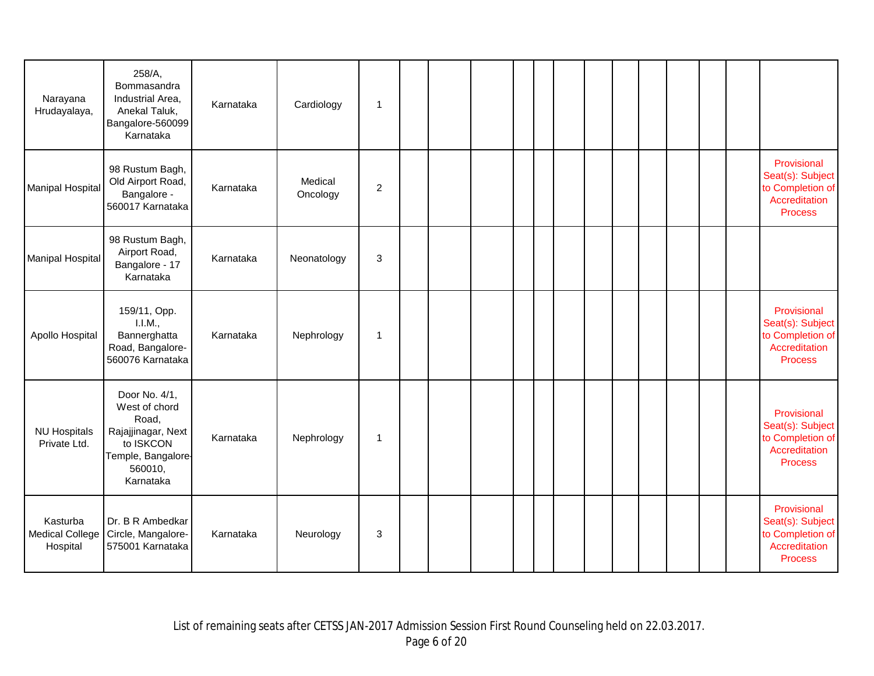| Narayana<br>Hrudayalaya,                       | 258/A,<br>Bommasandra<br>Industrial Area,<br>Anekal Taluk,<br>Bangalore-560099<br>Karnataka                              | Karnataka | Cardiology          | 1                |  |  |  |  |  |  |                                                                                        |
|------------------------------------------------|--------------------------------------------------------------------------------------------------------------------------|-----------|---------------------|------------------|--|--|--|--|--|--|----------------------------------------------------------------------------------------|
| <b>Manipal Hospital</b>                        | 98 Rustum Bagh,<br>Old Airport Road,<br>Bangalore -<br>560017 Karnataka                                                  | Karnataka | Medical<br>Oncology | $\boldsymbol{2}$ |  |  |  |  |  |  | Provisional<br>Seat(s): Subject<br>to Completion of<br>Accreditation<br><b>Process</b> |
| <b>Manipal Hospital</b>                        | 98 Rustum Bagh,<br>Airport Road,<br>Bangalore - 17<br>Karnataka                                                          | Karnataka | Neonatology         | $\mathbf{3}$     |  |  |  |  |  |  |                                                                                        |
| Apollo Hospital                                | 159/11, Opp.<br>1.1.M.,<br>Bannerghatta<br>Road, Bangalore-<br>560076 Karnataka                                          | Karnataka | Nephrology          | 1                |  |  |  |  |  |  | Provisional<br>Seat(s): Subject<br>to Completion of<br>Accreditation<br><b>Process</b> |
| <b>NU Hospitals</b><br>Private Ltd.            | Door No. 4/1,<br>West of chord<br>Road,<br>Rajajjinagar, Next<br>to ISKCON<br>Temple, Bangalore-<br>560010,<br>Karnataka | Karnataka | Nephrology          | $\mathbf{1}$     |  |  |  |  |  |  | Provisional<br>Seat(s): Subject<br>to Completion of<br>Accreditation<br><b>Process</b> |
| Kasturba<br><b>Medical College</b><br>Hospital | Dr. B R Ambedkar<br>Circle, Mangalore-<br>575001 Karnataka                                                               | Karnataka | Neurology           | 3                |  |  |  |  |  |  | Provisional<br>Seat(s): Subject<br>to Completion of<br>Accreditation<br><b>Process</b> |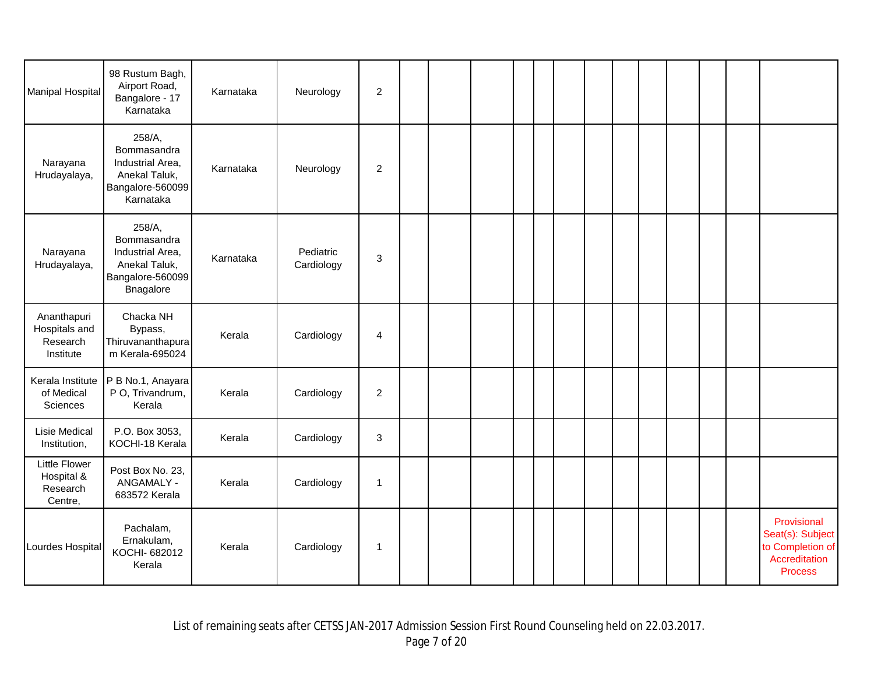| <b>Manipal Hospital</b>                               | 98 Rustum Bagh,<br>Airport Road,<br>Bangalore - 17<br>Karnataka                             | Karnataka | Neurology               | $\overline{2}$ |  |  |  |  |  |  |                                                                                        |
|-------------------------------------------------------|---------------------------------------------------------------------------------------------|-----------|-------------------------|----------------|--|--|--|--|--|--|----------------------------------------------------------------------------------------|
| Narayana<br>Hrudayalaya,                              | 258/A,<br>Bommasandra<br>Industrial Area,<br>Anekal Taluk,<br>Bangalore-560099<br>Karnataka | Karnataka | Neurology               | $\overline{2}$ |  |  |  |  |  |  |                                                                                        |
| Narayana<br>Hrudayalaya,                              | 258/A,<br>Bommasandra<br>Industrial Area,<br>Anekal Taluk,<br>Bangalore-560099<br>Bnagalore | Karnataka | Pediatric<br>Cardiology | $\mathbf{3}$   |  |  |  |  |  |  |                                                                                        |
| Ananthapuri<br>Hospitals and<br>Research<br>Institute | Chacka NH<br>Bypass,<br>Thiruvananthapura<br>m Kerala-695024                                | Kerala    | Cardiology              | 4              |  |  |  |  |  |  |                                                                                        |
| Kerala Institute<br>of Medical<br>Sciences            | P B No.1, Anayara<br>P O, Trivandrum,<br>Kerala                                             | Kerala    | Cardiology              | $\overline{2}$ |  |  |  |  |  |  |                                                                                        |
| <b>Lisie Medical</b><br>Institution,                  | P.O. Box 3053,<br>KOCHI-18 Kerala                                                           | Kerala    | Cardiology              | 3              |  |  |  |  |  |  |                                                                                        |
| Little Flower<br>Hospital &<br>Research<br>Centre,    | Post Box No. 23,<br>ANGAMALY -<br>683572 Kerala                                             | Kerala    | Cardiology              | $\overline{1}$ |  |  |  |  |  |  |                                                                                        |
| Lourdes Hospital                                      | Pachalam,<br>Ernakulam,<br>KOCHI- 682012<br>Kerala                                          | Kerala    | Cardiology              | $\mathbf{1}$   |  |  |  |  |  |  | Provisional<br>Seat(s): Subject<br>to Completion of<br>Accreditation<br><b>Process</b> |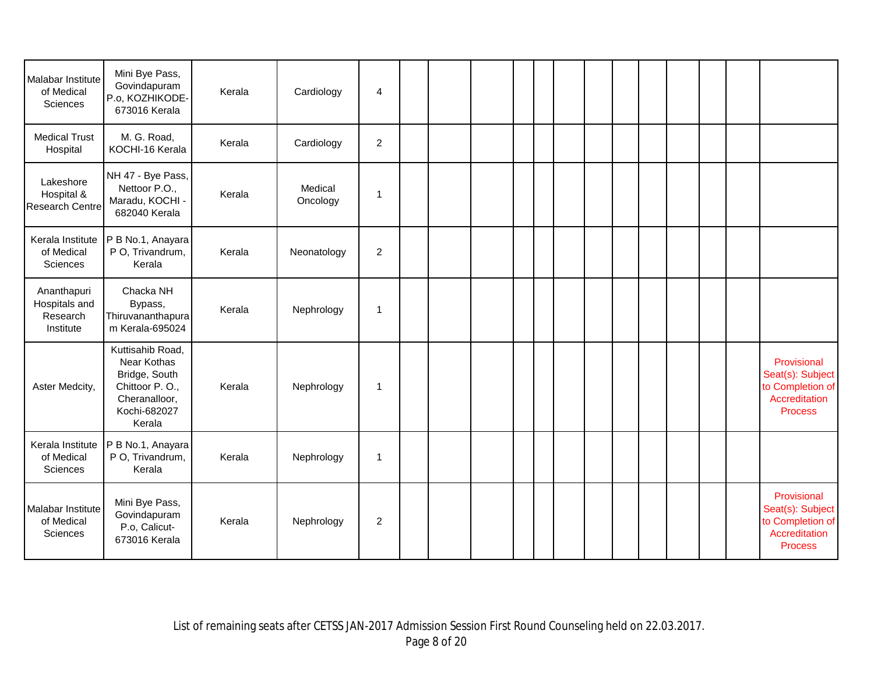| Malabar Institute<br>of Medical<br>Sciences           | Mini Bye Pass,<br>Govindapuram<br>P.o, KOZHIKODE-<br>673016 Kerala                                            | Kerala | Cardiology          | $\overline{a}$ |  |  |  |  |  |  |                                                                                        |
|-------------------------------------------------------|---------------------------------------------------------------------------------------------------------------|--------|---------------------|----------------|--|--|--|--|--|--|----------------------------------------------------------------------------------------|
| <b>Medical Trust</b><br>Hospital                      | M. G. Road,<br>KOCHI-16 Kerala                                                                                | Kerala | Cardiology          | $\overline{c}$ |  |  |  |  |  |  |                                                                                        |
| Lakeshore<br>Hospital &<br><b>Research Centre</b>     | NH 47 - Bye Pass,<br>Nettoor P.O.,<br>Maradu, KOCHI -<br>682040 Kerala                                        | Kerala | Medical<br>Oncology | 1              |  |  |  |  |  |  |                                                                                        |
| Kerala Institute<br>of Medical<br>Sciences            | P B No.1, Anayara<br>P O, Trivandrum,<br>Kerala                                                               | Kerala | Neonatology         | $\overline{2}$ |  |  |  |  |  |  |                                                                                        |
| Ananthapuri<br>Hospitals and<br>Research<br>Institute | Chacka NH<br>Bypass,<br>Thiruvananthapura<br>m Kerala-695024                                                  | Kerala | Nephrology          | 1              |  |  |  |  |  |  |                                                                                        |
| Aster Medcity,                                        | Kuttisahib Road,<br>Near Kothas<br>Bridge, South<br>Chittoor P.O.,<br>Cheranalloor,<br>Kochi-682027<br>Kerala | Kerala | Nephrology          | 1              |  |  |  |  |  |  | Provisional<br>Seat(s): Subject<br>to Completion of<br>Accreditation<br>Process        |
| Kerala Institute<br>of Medical<br>Sciences            | P B No.1, Anayara<br>P O, Trivandrum,<br>Kerala                                                               | Kerala | Nephrology          | $\mathbf{1}$   |  |  |  |  |  |  |                                                                                        |
| Malabar Institute<br>of Medical<br>Sciences           | Mini Bye Pass,<br>Govindapuram<br>P.o, Calicut-<br>673016 Kerala                                              | Kerala | Nephrology          | $\overline{c}$ |  |  |  |  |  |  | Provisional<br>Seat(s): Subject<br>to Completion of<br>Accreditation<br><b>Process</b> |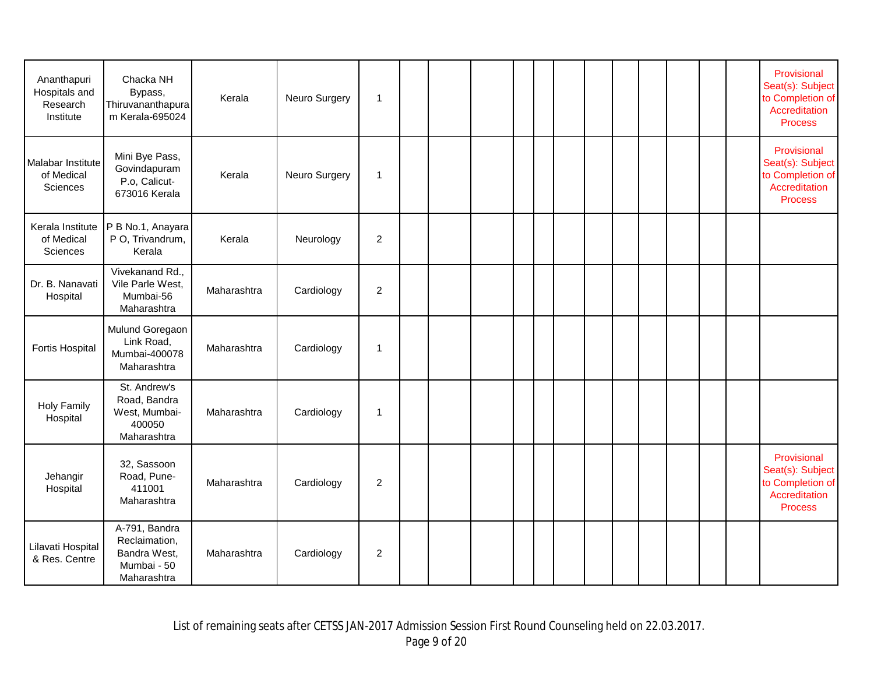| Ananthapuri<br>Hospitals and<br>Research<br>Institute | Chacka NH<br>Bypass,<br>Thiruvananthapura<br>m Kerala-695024                 | Kerala      | Neuro Surgery | $\overline{1}$ |  |  |  |  |  |  | Provisional<br>Seat(s): Subject<br>to Completion of<br>Accreditation<br><b>Process</b> |
|-------------------------------------------------------|------------------------------------------------------------------------------|-------------|---------------|----------------|--|--|--|--|--|--|----------------------------------------------------------------------------------------|
| Malabar Institute<br>of Medical<br>Sciences           | Mini Bye Pass,<br>Govindapuram<br>P.o, Calicut-<br>673016 Kerala             | Kerala      | Neuro Surgery | $\overline{1}$ |  |  |  |  |  |  | Provisional<br>Seat(s): Subject<br>to Completion of<br>Accreditation<br><b>Process</b> |
| Kerala Institute<br>of Medical<br>Sciences            | P B No.1, Anayara<br>P O, Trivandrum,<br>Kerala                              | Kerala      | Neurology     | $\overline{2}$ |  |  |  |  |  |  |                                                                                        |
| Dr. B. Nanavati<br>Hospital                           | Vivekanand Rd.,<br>Vile Parle West,<br>Mumbai-56<br>Maharashtra              | Maharashtra | Cardiology    | $\overline{c}$ |  |  |  |  |  |  |                                                                                        |
| <b>Fortis Hospital</b>                                | Mulund Goregaon<br>Link Road,<br>Mumbai-400078<br>Maharashtra                | Maharashtra | Cardiology    | $\overline{1}$ |  |  |  |  |  |  |                                                                                        |
| <b>Holy Family</b><br>Hospital                        | St. Andrew's<br>Road, Bandra<br>West, Mumbai-<br>400050<br>Maharashtra       | Maharashtra | Cardiology    | $\overline{1}$ |  |  |  |  |  |  |                                                                                        |
| Jehangir<br>Hospital                                  | 32, Sassoon<br>Road, Pune-<br>411001<br>Maharashtra                          | Maharashtra | Cardiology    | $\overline{2}$ |  |  |  |  |  |  | Provisional<br>Seat(s): Subject<br>to Completion of<br>Accreditation<br><b>Process</b> |
| Lilavati Hospital<br>& Res. Centre                    | A-791, Bandra<br>Reclaimation,<br>Bandra West,<br>Mumbai - 50<br>Maharashtra | Maharashtra | Cardiology    | $\overline{2}$ |  |  |  |  |  |  |                                                                                        |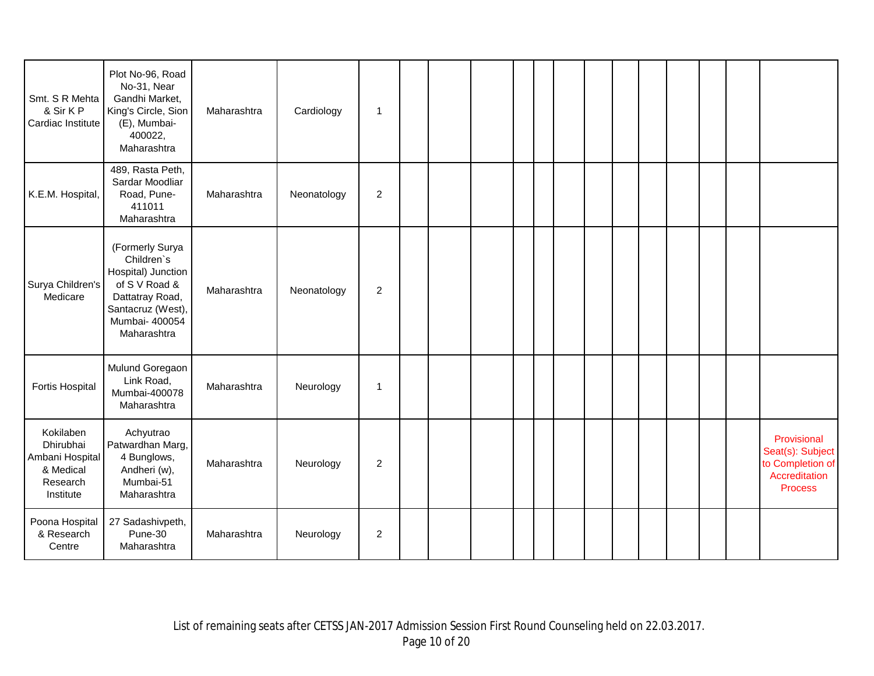| Smt. S R Mehta<br>& Sir K P<br>Cardiac Institute                                | Plot No-96, Road<br>No-31, Near<br>Gandhi Market,<br>King's Circle, Sion<br>(E), Mumbai-<br>400022,<br>Maharashtra                            | Maharashtra | Cardiology  | $\mathbf{1}$   |  |  |  |  |  |  |                                                                                        |
|---------------------------------------------------------------------------------|-----------------------------------------------------------------------------------------------------------------------------------------------|-------------|-------------|----------------|--|--|--|--|--|--|----------------------------------------------------------------------------------------|
| K.E.M. Hospital,                                                                | 489, Rasta Peth,<br>Sardar Moodliar<br>Road, Pune-<br>411011<br>Maharashtra                                                                   | Maharashtra | Neonatology | 2              |  |  |  |  |  |  |                                                                                        |
| Surya Children's<br>Medicare                                                    | (Formerly Surya<br>Children's<br>Hospital) Junction<br>of S V Road &<br>Dattatray Road,<br>Santacruz (West),<br>Mumbai- 400054<br>Maharashtra | Maharashtra | Neonatology | 2              |  |  |  |  |  |  |                                                                                        |
| <b>Fortis Hospital</b>                                                          | Mulund Goregaon<br>Link Road,<br>Mumbai-400078<br>Maharashtra                                                                                 | Maharashtra | Neurology   | $\mathbf{1}$   |  |  |  |  |  |  |                                                                                        |
| Kokilaben<br>Dhirubhai<br>Ambani Hospital<br>& Medical<br>Research<br>Institute | Achyutrao<br>Patwardhan Marg,<br>4 Bunglows,<br>Andheri (w),<br>Mumbai-51<br>Maharashtra                                                      | Maharashtra | Neurology   | 2              |  |  |  |  |  |  | Provisional<br>Seat(s): Subject<br>to Completion of<br>Accreditation<br><b>Process</b> |
| Poona Hospital<br>& Research<br>Centre                                          | 27 Sadashivpeth,<br>Pune-30<br>Maharashtra                                                                                                    | Maharashtra | Neurology   | $\overline{2}$ |  |  |  |  |  |  |                                                                                        |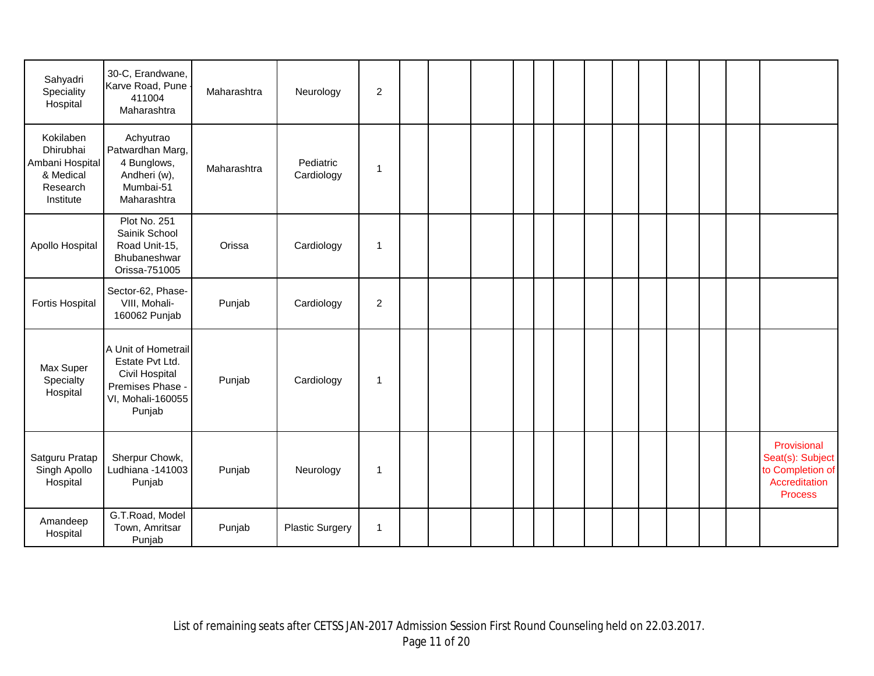| Sahyadri<br>Speciality<br>Hospital                                              | 30-C, Erandwane,<br>Karve Road, Pune<br>411004<br>Maharashtra                                               | Maharashtra | Neurology               | $\sqrt{2}$     |  |  |  |  |  |  |                                                                                 |
|---------------------------------------------------------------------------------|-------------------------------------------------------------------------------------------------------------|-------------|-------------------------|----------------|--|--|--|--|--|--|---------------------------------------------------------------------------------|
| Kokilaben<br>Dhirubhai<br>Ambani Hospital<br>& Medical<br>Research<br>Institute | Achyutrao<br>Patwardhan Marg,<br>4 Bunglows,<br>Andheri (w),<br>Mumbai-51<br>Maharashtra                    | Maharashtra | Pediatric<br>Cardiology | $\overline{1}$ |  |  |  |  |  |  |                                                                                 |
| Apollo Hospital                                                                 | Plot No. 251<br>Sainik School<br>Road Unit-15,<br>Bhubaneshwar<br>Orissa-751005                             | Orissa      | Cardiology              | $\mathbf{1}$   |  |  |  |  |  |  |                                                                                 |
| Fortis Hospital                                                                 | Sector-62, Phase-<br>VIII, Mohali-<br>160062 Punjab                                                         | Punjab      | Cardiology              | 2              |  |  |  |  |  |  |                                                                                 |
| Max Super<br>Specialty<br>Hospital                                              | A Unit of Hometrail<br>Estate Pvt Ltd.<br>Civil Hospital<br>Premises Phase -<br>VI, Mohali-160055<br>Punjab | Punjab      | Cardiology              | $\overline{1}$ |  |  |  |  |  |  |                                                                                 |
| Satguru Pratap<br>Singh Apollo<br>Hospital                                      | Sherpur Chowk,<br>Ludhiana -141003<br>Punjab                                                                | Punjab      | Neurology               | $\overline{1}$ |  |  |  |  |  |  | Provisional<br>Seat(s): Subject<br>to Completion of<br>Accreditation<br>Process |
| Amandeep<br>Hospital                                                            | G.T.Road, Model<br>Town, Amritsar<br>Punjab                                                                 | Punjab      | <b>Plastic Surgery</b>  | $\mathbf{1}$   |  |  |  |  |  |  |                                                                                 |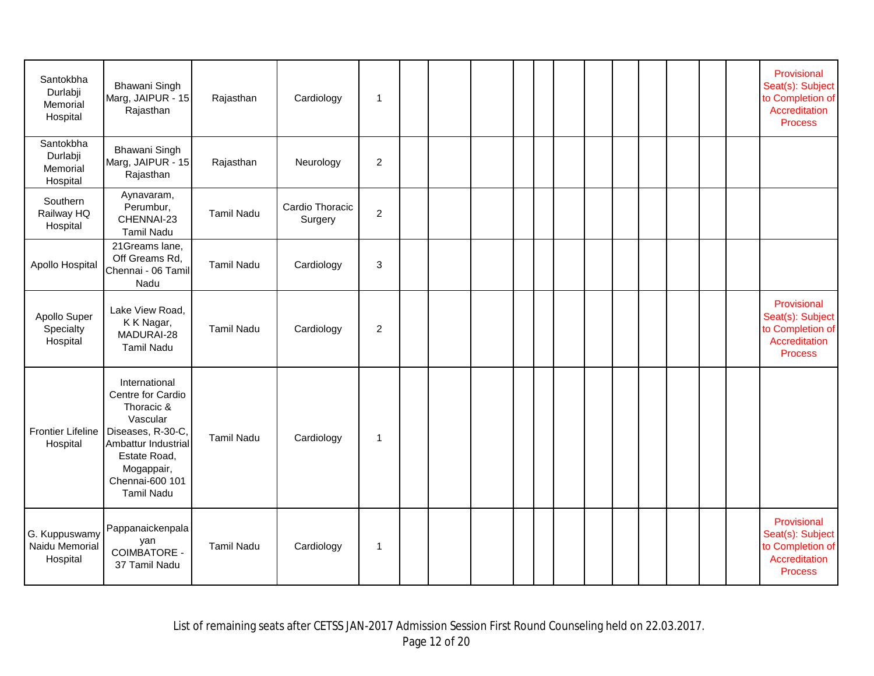| Santokbha<br>Durlabji<br>Memorial<br>Hospital | Bhawani Singh<br>Marg, JAIPUR - 15<br>Rajasthan                                                                                                                                | Rajasthan         | Cardiology                 | $\mathbf{1}$     |  |  |  |  |  |  | Provisional<br>Seat(s): Subject<br>to Completion of<br>Accreditation<br><b>Process</b> |
|-----------------------------------------------|--------------------------------------------------------------------------------------------------------------------------------------------------------------------------------|-------------------|----------------------------|------------------|--|--|--|--|--|--|----------------------------------------------------------------------------------------|
| Santokbha<br>Durlabji<br>Memorial<br>Hospital | Bhawani Singh<br>Marg, JAIPUR - 15<br>Rajasthan                                                                                                                                | Rajasthan         | Neurology                  | $\boldsymbol{2}$ |  |  |  |  |  |  |                                                                                        |
| Southern<br>Railway HQ<br>Hospital            | Aynavaram,<br>Perumbur,<br>CHENNAI-23<br><b>Tamil Nadu</b>                                                                                                                     | <b>Tamil Nadu</b> | Cardio Thoracic<br>Surgery | $\overline{c}$   |  |  |  |  |  |  |                                                                                        |
| Apollo Hospital                               | 21Greams lane,<br>Off Greams Rd,<br>Chennai - 06 Tamil<br>Nadu                                                                                                                 | <b>Tamil Nadu</b> | Cardiology                 | 3                |  |  |  |  |  |  |                                                                                        |
| Apollo Super<br>Specialty<br>Hospital         | Lake View Road,<br>K K Nagar,<br>MADURAI-28<br><b>Tamil Nadu</b>                                                                                                               | <b>Tamil Nadu</b> | Cardiology                 | $\overline{c}$   |  |  |  |  |  |  | Provisional<br>Seat(s): Subject<br>to Completion of<br>Accreditation<br><b>Process</b> |
| <b>Frontier Lifeline</b><br>Hospital          | International<br>Centre for Cardio<br>Thoracic &<br>Vascular<br>Diseases, R-30-C,<br>Ambattur Industrial<br>Estate Road,<br>Mogappair,<br>Chennai-600 101<br><b>Tamil Nadu</b> | <b>Tamil Nadu</b> | Cardiology                 | 1                |  |  |  |  |  |  |                                                                                        |
| G. Kuppuswamy<br>Naidu Memorial<br>Hospital   | Pappanaickenpala<br>yan<br><b>COIMBATORE -</b><br>37 Tamil Nadu                                                                                                                | <b>Tamil Nadu</b> | Cardiology                 | 1                |  |  |  |  |  |  | Provisional<br>Seat(s): Subject<br>to Completion of<br>Accreditation<br><b>Process</b> |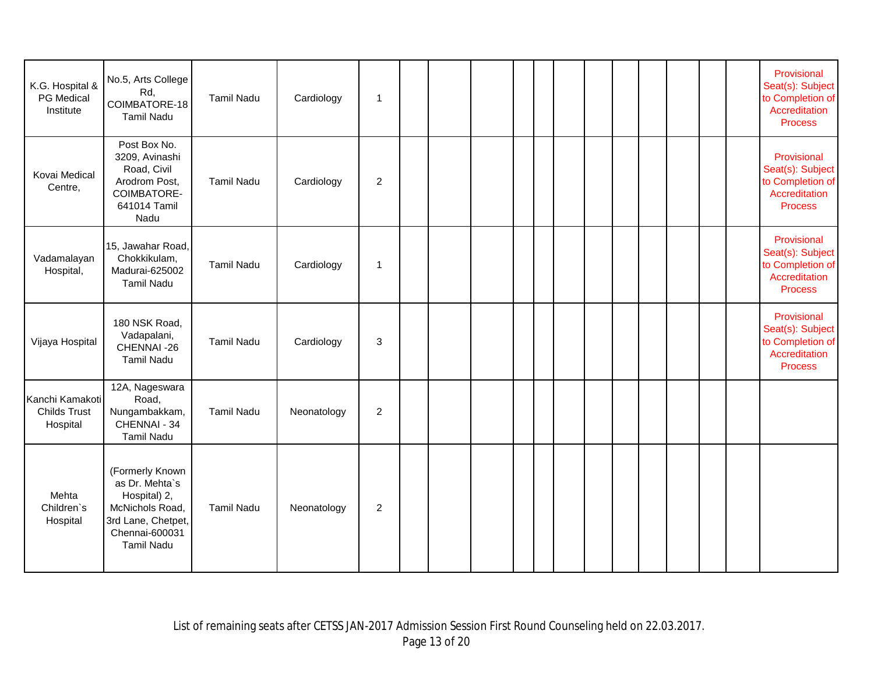| K.G. Hospital &<br>PG Medical<br>Institute         | No.5, Arts College<br>Rd,<br>COIMBATORE-18<br><b>Tamil Nadu</b>                                                                   | <b>Tamil Nadu</b> | Cardiology  | $\mathbf 1$    |  |  |  |  |  |  | Provisional<br>Seat(s): Subject<br>to Completion of<br>Accreditation<br><b>Process</b> |
|----------------------------------------------------|-----------------------------------------------------------------------------------------------------------------------------------|-------------------|-------------|----------------|--|--|--|--|--|--|----------------------------------------------------------------------------------------|
| Kovai Medical<br>Centre,                           | Post Box No.<br>3209, Avinashi<br>Road, Civil<br>Arodrom Post,<br>COIMBATORE-<br>641014 Tamil<br>Nadu                             | <b>Tamil Nadu</b> | Cardiology  | 2              |  |  |  |  |  |  | Provisional<br>Seat(s): Subject<br>to Completion of<br>Accreditation<br><b>Process</b> |
| Vadamalayan<br>Hospital,                           | 15, Jawahar Road,<br>Chokkikulam,<br>Madurai-625002<br><b>Tamil Nadu</b>                                                          | <b>Tamil Nadu</b> | Cardiology  | $\overline{1}$ |  |  |  |  |  |  | Provisional<br>Seat(s): Subject<br>to Completion of<br>Accreditation<br><b>Process</b> |
| Vijaya Hospital                                    | 180 NSK Road,<br>Vadapalani,<br>CHENNAI-26<br><b>Tamil Nadu</b>                                                                   | <b>Tamil Nadu</b> | Cardiology  | 3              |  |  |  |  |  |  | Provisional<br>Seat(s): Subject<br>to Completion of<br>Accreditation<br><b>Process</b> |
| Kanchi Kamakoti<br><b>Childs Trust</b><br>Hospital | 12A, Nageswara<br>Road,<br>Nungambakkam,<br>CHENNAI - 34<br><b>Tamil Nadu</b>                                                     | <b>Tamil Nadu</b> | Neonatology | $\overline{2}$ |  |  |  |  |  |  |                                                                                        |
| Mehta<br>Children's<br>Hospital                    | (Formerly Known<br>as Dr. Mehta's<br>Hospital) 2,<br>McNichols Road,<br>3rd Lane, Chetpet,<br>Chennai-600031<br><b>Tamil Nadu</b> | <b>Tamil Nadu</b> | Neonatology | 2              |  |  |  |  |  |  |                                                                                        |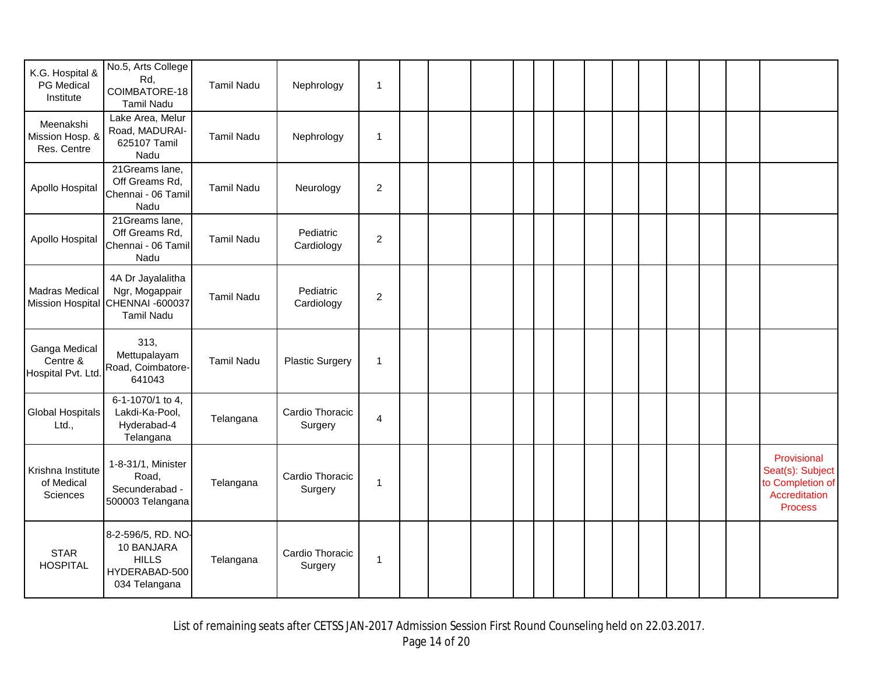|                                                 | No.5, Arts College                                                                           |                   |                            |                  |  |  |  |  |  |  |                                                                                        |
|-------------------------------------------------|----------------------------------------------------------------------------------------------|-------------------|----------------------------|------------------|--|--|--|--|--|--|----------------------------------------------------------------------------------------|
| K.G. Hospital &<br>PG Medical<br>Institute      | Rd,<br>COIMBATORE-18<br><b>Tamil Nadu</b>                                                    | <b>Tamil Nadu</b> | Nephrology                 | 1                |  |  |  |  |  |  |                                                                                        |
| Meenakshi<br>Mission Hosp. &<br>Res. Centre     | Lake Area, Melur<br>Road, MADURAI-<br>625107 Tamil<br>Nadu                                   | <b>Tamil Nadu</b> | Nephrology                 | $\mathbf{1}$     |  |  |  |  |  |  |                                                                                        |
| Apollo Hospital                                 | 21 Greams lane,<br>Off Greams Rd,<br>Chennai - 06 Tamil<br>Nadu                              | <b>Tamil Nadu</b> | Neurology                  | $\overline{c}$   |  |  |  |  |  |  |                                                                                        |
| Apollo Hospital                                 | 21Greams lane,<br>Off Greams Rd,<br>Chennai - 06 Tamil<br>Nadu                               | <b>Tamil Nadu</b> | Pediatric<br>Cardiology    | $\overline{c}$   |  |  |  |  |  |  |                                                                                        |
| <b>Madras Medical</b>                           | 4A Dr Jayalalitha<br>Ngr, Mogappair<br>Mission Hospital CHENNAI -600037<br><b>Tamil Nadu</b> | <b>Tamil Nadu</b> | Pediatric<br>Cardiology    | $\boldsymbol{2}$ |  |  |  |  |  |  |                                                                                        |
| Ganga Medical<br>Centre &<br>Hospital Pvt. Ltd. | 313,<br>Mettupalayam<br>Road, Coimbatore-<br>641043                                          | <b>Tamil Nadu</b> | <b>Plastic Surgery</b>     | $\mathbf{1}$     |  |  |  |  |  |  |                                                                                        |
| <b>Global Hospitals</b><br>Ltd.,                | 6-1-1070/1 to 4,<br>Lakdi-Ka-Pool,<br>Hyderabad-4<br>Telangana                               | Telangana         | Cardio Thoracic<br>Surgery | $\overline{4}$   |  |  |  |  |  |  |                                                                                        |
| Krishna Institute<br>of Medical<br>Sciences     | 1-8-31/1, Minister<br>Road,<br>Secunderabad -<br>500003 Telangana                            | Telangana         | Cardio Thoracic<br>Surgery | $\mathbf{1}$     |  |  |  |  |  |  | Provisional<br>Seat(s): Subject<br>to Completion of<br>Accreditation<br><b>Process</b> |
| <b>STAR</b><br><b>HOSPITAL</b>                  | 8-2-596/5, RD. NO-<br>10 BANJARA<br><b>HILLS</b><br>HYDERABAD-500<br>034 Telangana           | Telangana         | Cardio Thoracic<br>Surgery | $\mathbf{1}$     |  |  |  |  |  |  |                                                                                        |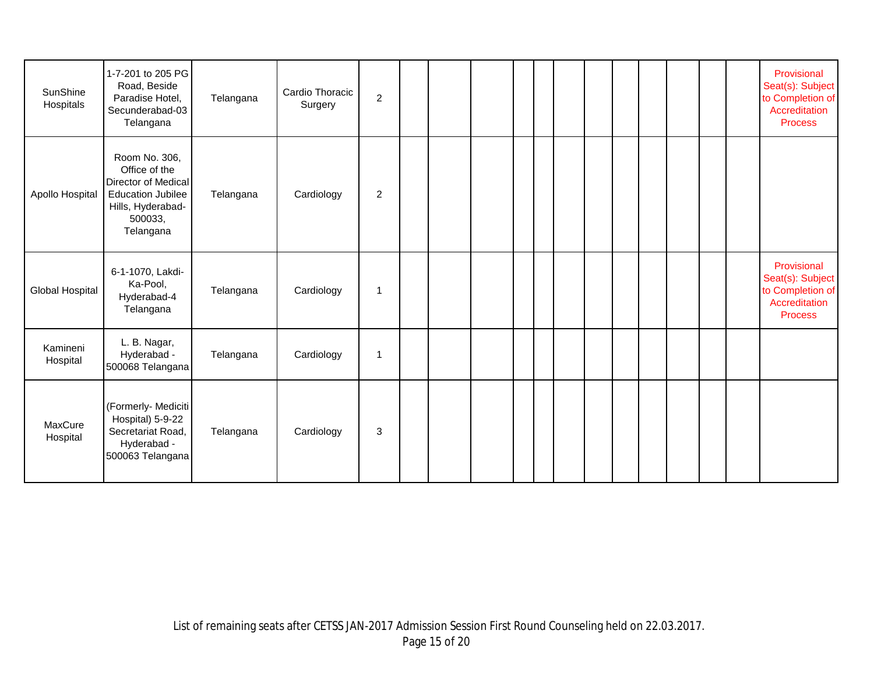| SunShine<br>Hospitals | 1-7-201 to 205 PG<br>Road, Beside<br>Paradise Hotel,<br>Secunderabad-03<br>Telangana                                           | Telangana | Cardio Thoracic<br>Surgery | 2              |  |  |  |  |  |  | Provisional<br>Seat(s): Subject<br>to Completion of<br>Accreditation<br><b>Process</b> |
|-----------------------|--------------------------------------------------------------------------------------------------------------------------------|-----------|----------------------------|----------------|--|--|--|--|--|--|----------------------------------------------------------------------------------------|
| Apollo Hospital       | Room No. 306,<br>Office of the<br>Director of Medical<br><b>Education Jubilee</b><br>Hills, Hyderabad-<br>500033,<br>Telangana | Telangana | Cardiology                 | $\overline{2}$ |  |  |  |  |  |  |                                                                                        |
| Global Hospital       | 6-1-1070, Lakdi-<br>Ka-Pool,<br>Hyderabad-4<br>Telangana                                                                       | Telangana | Cardiology                 | $\mathbf 1$    |  |  |  |  |  |  | Provisional<br>Seat(s): Subject<br>to Completion of<br>Accreditation<br><b>Process</b> |
| Kamineni<br>Hospital  | L. B. Nagar,<br>Hyderabad -<br>500068 Telangana                                                                                | Telangana | Cardiology                 | 1              |  |  |  |  |  |  |                                                                                        |
| MaxCure<br>Hospital   | (Formerly- Mediciti<br>Hospital) 5-9-22<br>Secretariat Road,<br>Hyderabad -<br>500063 Telangana                                | Telangana | Cardiology                 | 3              |  |  |  |  |  |  |                                                                                        |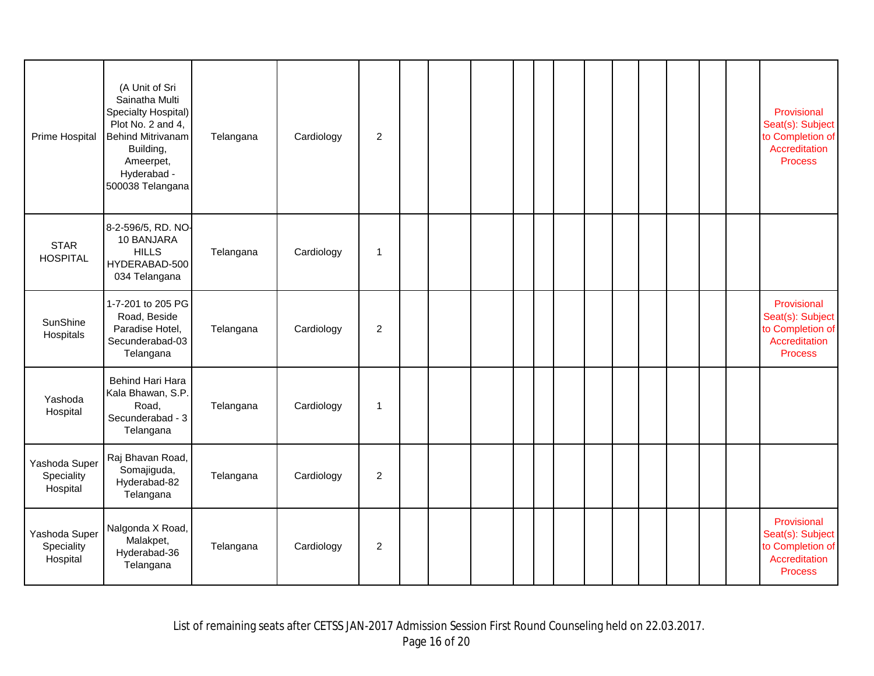| Prime Hospital                          | (A Unit of Sri<br>Sainatha Multi<br>Specialty Hospital)<br>Plot No. 2 and 4,<br><b>Behind Mitrivanam</b><br>Building,<br>Ameerpet,<br>Hyderabad -<br>500038 Telangana | Telangana | Cardiology | $\overline{2}$ |  |  |  |  |  |  | Provisional<br>Seat(s): Subject<br>to Completion of<br>Accreditation<br><b>Process</b> |
|-----------------------------------------|-----------------------------------------------------------------------------------------------------------------------------------------------------------------------|-----------|------------|----------------|--|--|--|--|--|--|----------------------------------------------------------------------------------------|
| <b>STAR</b><br><b>HOSPITAL</b>          | 8-2-596/5, RD. NO-<br>10 BANJARA<br><b>HILLS</b><br>HYDERABAD-500<br>034 Telangana                                                                                    | Telangana | Cardiology | $\overline{1}$ |  |  |  |  |  |  |                                                                                        |
| SunShine<br>Hospitals                   | 1-7-201 to 205 PG<br>Road, Beside<br>Paradise Hotel,<br>Secunderabad-03<br>Telangana                                                                                  | Telangana | Cardiology | $\overline{2}$ |  |  |  |  |  |  | Provisional<br>Seat(s): Subject<br>to Completion of<br>Accreditation<br><b>Process</b> |
| Yashoda<br>Hospital                     | Behind Hari Hara<br>Kala Bhawan, S.P.<br>Road,<br>Secunderabad - 3<br>Telangana                                                                                       | Telangana | Cardiology | $\overline{1}$ |  |  |  |  |  |  |                                                                                        |
| Yashoda Super<br>Speciality<br>Hospital | Raj Bhavan Road,<br>Somajiguda,<br>Hyderabad-82<br>Telangana                                                                                                          | Telangana | Cardiology | 2              |  |  |  |  |  |  |                                                                                        |
| Yashoda Super<br>Speciality<br>Hospital | Nalgonda X Road,<br>Malakpet,<br>Hyderabad-36<br>Telangana                                                                                                            | Telangana | Cardiology | $\overline{c}$ |  |  |  |  |  |  | Provisional<br>Seat(s): Subject<br>to Completion of<br>Accreditation<br><b>Process</b> |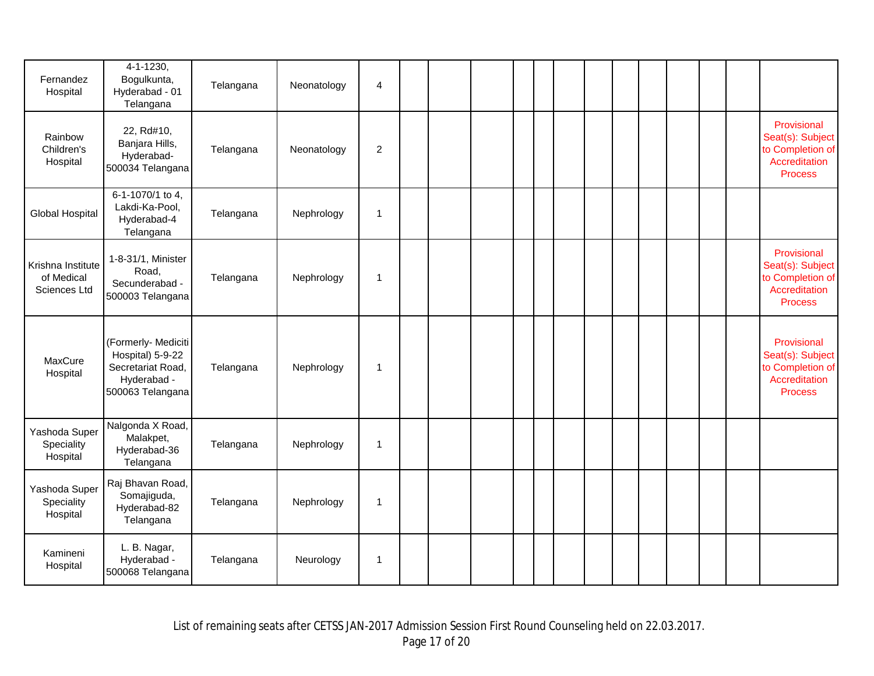| Fernandez<br>Hospital                           | 4-1-1230,<br>Bogulkunta,<br>Hyderabad - 01<br>Telangana                                         | Telangana | Neonatology | $\overline{\mathbf{4}}$ |  |  |  |  |  |  |                                                                                        |
|-------------------------------------------------|-------------------------------------------------------------------------------------------------|-----------|-------------|-------------------------|--|--|--|--|--|--|----------------------------------------------------------------------------------------|
| Rainbow<br>Children's<br>Hospital               | 22, Rd#10,<br>Banjara Hills,<br>Hyderabad-<br>500034 Telangana                                  | Telangana | Neonatology | $\overline{2}$          |  |  |  |  |  |  | Provisional<br>Seat(s): Subject<br>to Completion of<br>Accreditation<br>Process        |
| Global Hospital                                 | 6-1-1070/1 to 4,<br>Lakdi-Ka-Pool,<br>Hyderabad-4<br>Telangana                                  | Telangana | Nephrology  | $\mathbf 1$             |  |  |  |  |  |  |                                                                                        |
| Krishna Institute<br>of Medical<br>Sciences Ltd | 1-8-31/1, Minister<br>Road,<br>Secunderabad -<br>500003 Telangana                               | Telangana | Nephrology  | $\mathbf 1$             |  |  |  |  |  |  | Provisional<br>Seat(s): Subject<br>to Completion of<br>Accreditation<br><b>Process</b> |
| MaxCure<br>Hospital                             | (Formerly- Mediciti<br>Hospital) 5-9-22<br>Secretariat Road,<br>Hyderabad -<br>500063 Telangana | Telangana | Nephrology  | $\mathbf 1$             |  |  |  |  |  |  | Provisional<br>Seat(s): Subject<br>to Completion of<br>Accreditation<br><b>Process</b> |
| Yashoda Super<br>Speciality<br>Hospital         | Nalgonda X Road,<br>Malakpet,<br>Hyderabad-36<br>Telangana                                      | Telangana | Nephrology  | $\mathbf 1$             |  |  |  |  |  |  |                                                                                        |
| Yashoda Super<br>Speciality<br>Hospital         | Raj Bhavan Road,<br>Somajiguda,<br>Hyderabad-82<br>Telangana                                    | Telangana | Nephrology  | $\mathbf 1$             |  |  |  |  |  |  |                                                                                        |
| Kamineni<br>Hospital                            | L. B. Nagar,<br>Hyderabad -<br>500068 Telangana                                                 | Telangana | Neurology   | $\mathbf 1$             |  |  |  |  |  |  |                                                                                        |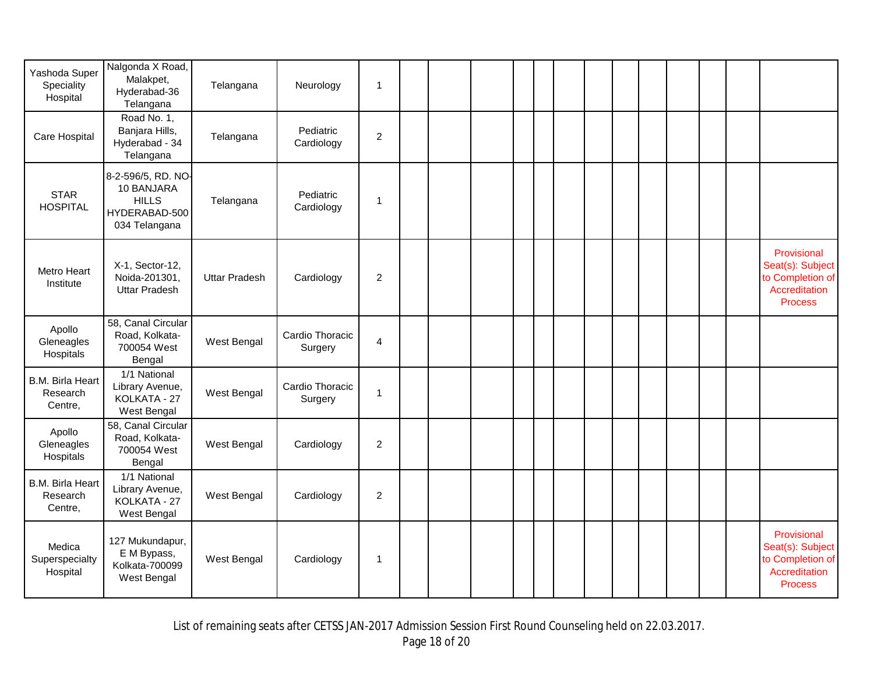|                                                | Nalgonda X Road,                                                                   |                      |                            |                  |  |  |  |  |  |  |                                                                                        |
|------------------------------------------------|------------------------------------------------------------------------------------|----------------------|----------------------------|------------------|--|--|--|--|--|--|----------------------------------------------------------------------------------------|
| Yashoda Super<br>Speciality<br>Hospital        | Malakpet,<br>Hyderabad-36<br>Telangana                                             | Telangana            | Neurology                  | $\mathbf{1}$     |  |  |  |  |  |  |                                                                                        |
| Care Hospital                                  | Road No. 1,<br>Banjara Hills,<br>Hyderabad - 34<br>Telangana                       | Telangana            | Pediatric<br>Cardiology    | $\overline{c}$   |  |  |  |  |  |  |                                                                                        |
| <b>STAR</b><br><b>HOSPITAL</b>                 | 8-2-596/5, RD. NO-<br>10 BANJARA<br><b>HILLS</b><br>HYDERABAD-500<br>034 Telangana | Telangana            | Pediatric<br>Cardiology    | $\mathbf{1}$     |  |  |  |  |  |  |                                                                                        |
| Metro Heart<br>Institute                       | X-1, Sector-12,<br>Noida-201301,<br><b>Uttar Pradesh</b>                           | <b>Uttar Pradesh</b> | Cardiology                 | $\overline{c}$   |  |  |  |  |  |  | Provisional<br>Seat(s): Subject<br>to Completion of<br>Accreditation<br><b>Process</b> |
| Apollo<br>Gleneagles<br>Hospitals              | 58, Canal Circular<br>Road, Kolkata-<br>700054 West<br>Bengal                      | West Bengal          | Cardio Thoracic<br>Surgery | $\overline{4}$   |  |  |  |  |  |  |                                                                                        |
| <b>B.M. Birla Heart</b><br>Research<br>Centre, | 1/1 National<br>Library Avenue,<br>KOLKATA - 27<br>West Bengal                     | West Bengal          | Cardio Thoracic<br>Surgery | $\mathbf{1}$     |  |  |  |  |  |  |                                                                                        |
| Apollo<br>Gleneagles<br>Hospitals              | 58, Canal Circular<br>Road, Kolkata-<br>700054 West<br>Bengal                      | West Bengal          | Cardiology                 | $\boldsymbol{2}$ |  |  |  |  |  |  |                                                                                        |
| <b>B.M. Birla Heart</b><br>Research<br>Centre, | 1/1 National<br>Library Avenue,<br>KOLKATA - 27<br>West Bengal                     | West Bengal          | Cardiology                 | $\boldsymbol{2}$ |  |  |  |  |  |  |                                                                                        |
| Medica<br>Superspecialty<br>Hospital           | 127 Mukundapur,<br>E M Bypass,<br>Kolkata-700099<br>West Bengal                    | West Bengal          | Cardiology                 | $\mathbf 1$      |  |  |  |  |  |  | Provisional<br>Seat(s): Subject<br>to Completion of<br>Accreditation<br><b>Process</b> |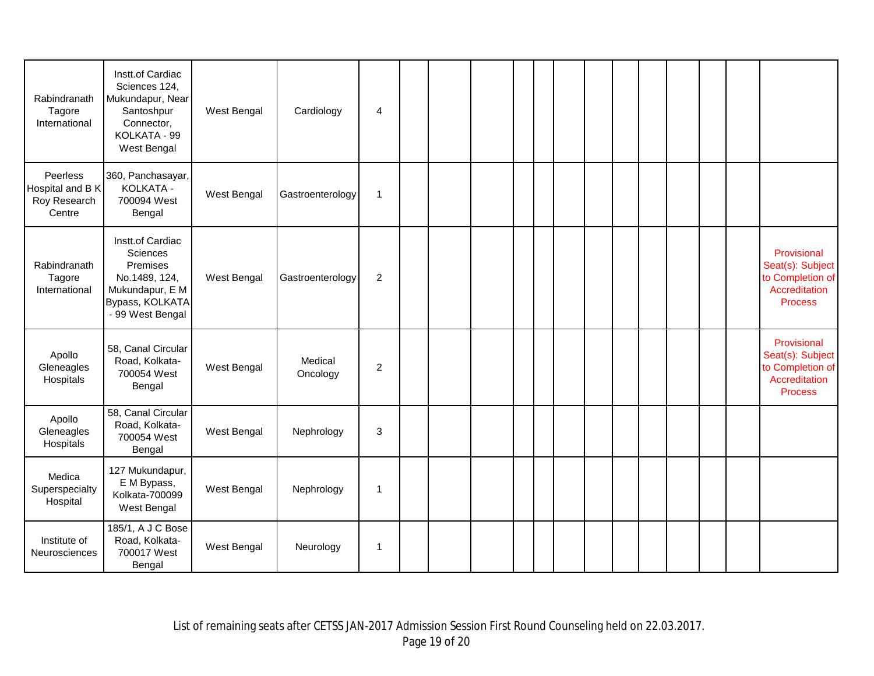| Rabindranath<br>Tagore<br>International                | Instt.of Cardiac<br>Sciences 124,<br>Mukundapur, Near<br>Santoshpur<br>Connector,<br>KOLKATA - 99<br>West Bengal    | West Bengal | Cardiology          | $\overline{4}$ |  |  |  |  |  |  |                                                                                        |
|--------------------------------------------------------|---------------------------------------------------------------------------------------------------------------------|-------------|---------------------|----------------|--|--|--|--|--|--|----------------------------------------------------------------------------------------|
| Peerless<br>Hospital and B K<br>Roy Research<br>Centre | 360, Panchasayar,<br>KOLKATA -<br>700094 West<br>Bengal                                                             | West Bengal | Gastroenterology    | $\mathbf 1$    |  |  |  |  |  |  |                                                                                        |
| Rabindranath<br>Tagore<br>International                | Instt.of Cardiac<br>Sciences<br>Premises<br>No.1489, 124,<br>Mukundapur, E M<br>Bypass, KOLKATA<br>- 99 West Bengal | West Bengal | Gastroenterology    | $\overline{2}$ |  |  |  |  |  |  | Provisional<br>Seat(s): Subject<br>to Completion of<br>Accreditation<br><b>Process</b> |
| Apollo<br>Gleneagles<br>Hospitals                      | 58, Canal Circular<br>Road, Kolkata-<br>700054 West<br>Bengal                                                       | West Bengal | Medical<br>Oncology | $\overline{2}$ |  |  |  |  |  |  | Provisional<br>Seat(s): Subject<br>to Completion of<br>Accreditation<br><b>Process</b> |
| Apollo<br>Gleneagles<br>Hospitals                      | 58, Canal Circular<br>Road, Kolkata-<br>700054 West<br>Bengal                                                       | West Bengal | Nephrology          | 3              |  |  |  |  |  |  |                                                                                        |
| Medica<br>Superspecialty<br>Hospital                   | 127 Mukundapur,<br>E M Bypass,<br>Kolkata-700099<br>West Bengal                                                     | West Bengal | Nephrology          | $\overline{1}$ |  |  |  |  |  |  |                                                                                        |
| Institute of<br>Neurosciences                          | 185/1, A J C Bose<br>Road, Kolkata-<br>700017 West<br>Bengal                                                        | West Bengal | Neurology           | $\mathbf 1$    |  |  |  |  |  |  |                                                                                        |